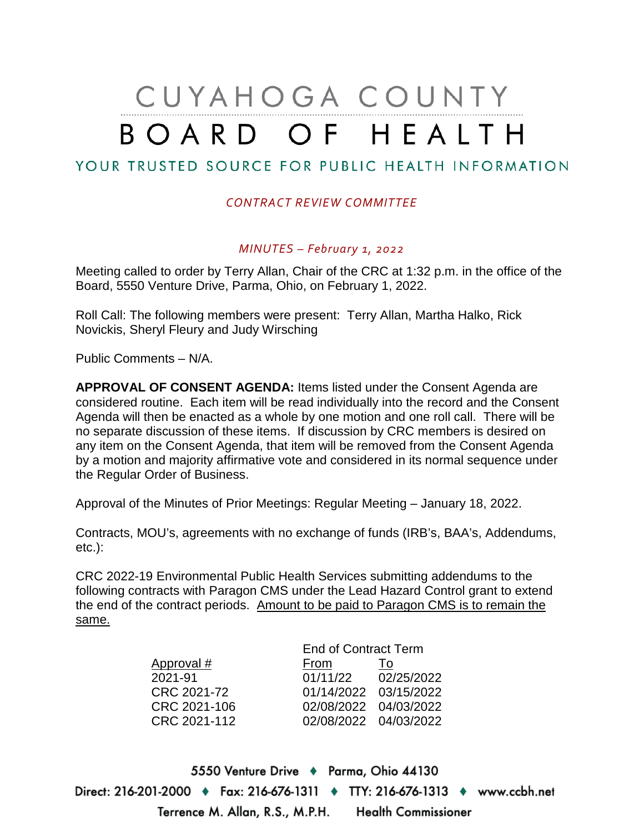# CUYAHOGA COUNTY BOARD OF HEALTH

# YOUR TRUSTED SOURCE FOR PUBLIC HEALTH INFORMATION

## *CONTRACT REVIEW COMMITTEE*

### *MINUTES – February 1, 2022*

Meeting called to order by Terry Allan, Chair of the CRC at 1:32 p.m. in the office of the Board, 5550 Venture Drive, Parma, Ohio, on February 1, 2022.

Roll Call: The following members were present: Terry Allan, Martha Halko, Rick Novickis, Sheryl Fleury and Judy Wirsching

Public Comments – N/A.

**APPROVAL OF CONSENT AGENDA:** Items listed under the Consent Agenda are considered routine. Each item will be read individually into the record and the Consent Agenda will then be enacted as a whole by one motion and one roll call. There will be no separate discussion of these items. If discussion by CRC members is desired on any item on the Consent Agenda, that item will be removed from the Consent Agenda by a motion and majority affirmative vote and considered in its normal sequence under the Regular Order of Business.

Approval of the Minutes of Prior Meetings: Regular Meeting – January 18, 2022.

Contracts, MOU's, agreements with no exchange of funds (IRB's, BAA's, Addendums, etc.):

CRC 2022-19 Environmental Public Health Services submitting addendums to the following contracts with Paragon CMS under the Lead Hazard Control grant to extend the end of the contract periods. Amount to be paid to Paragon CMS is to remain the same.

| <b>End of Contract Term</b> |                       |
|-----------------------------|-----------------------|
| From                        | To                    |
| 01/11/22                    | 02/25/2022            |
|                             | 01/14/2022 03/15/2022 |
|                             | 02/08/2022 04/03/2022 |
|                             | 02/08/2022 04/03/2022 |
|                             |                       |

5550 Venture Drive + Parma, Ohio 44130 Direct: 216-201-2000 ♦ Fax: 216-676-1311 ♦ TTY: 216-676-1313 ♦ www.ccbh.net Terrence M. Allan, R.S., M.P.H. **Health Commissioner**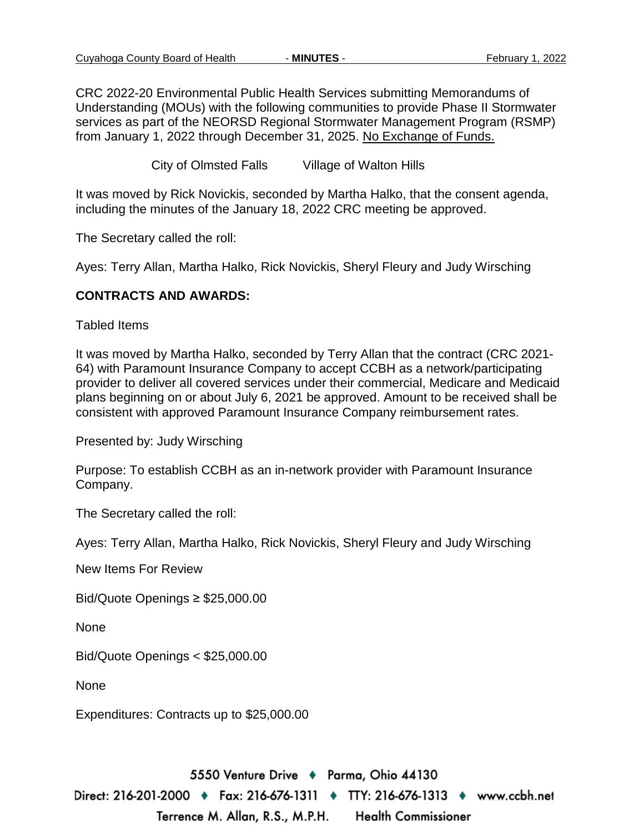CRC 2022-20 Environmental Public Health Services submitting Memorandums of Understanding (MOUs) with the following communities to provide Phase II Stormwater services as part of the NEORSD Regional Stormwater Management Program (RSMP) from January 1, 2022 through December 31, 2025. No Exchange of Funds.

City of Olmsted Falls Village of Walton Hills

It was moved by Rick Novickis, seconded by Martha Halko, that the consent agenda, including the minutes of the January 18, 2022 CRC meeting be approved.

The Secretary called the roll:

Ayes: Terry Allan, Martha Halko, Rick Novickis, Sheryl Fleury and Judy Wirsching

### **CONTRACTS AND AWARDS:**

Tabled Items

It was moved by Martha Halko, seconded by Terry Allan that the contract (CRC 2021- 64) with Paramount Insurance Company to accept CCBH as a network/participating provider to deliver all covered services under their commercial, Medicare and Medicaid plans beginning on or about July 6, 2021 be approved. Amount to be received shall be consistent with approved Paramount Insurance Company reimbursement rates.

Presented by: Judy Wirsching

Purpose: To establish CCBH as an in-network provider with Paramount Insurance Company.

The Secretary called the roll:

Ayes: Terry Allan, Martha Halko, Rick Novickis, Sheryl Fleury and Judy Wirsching

New Items For Review

Bid/Quote Openings ≥ \$25,000.00

None

Bid/Quote Openings < \$25,000.00

None

Expenditures: Contracts up to \$25,000.00

5550 Venture Drive + Parma, Ohio 44130 Direct: 216-201-2000 ♦ Fax: 216-676-1311 ♦ TTY: 216-676-1313 ♦ www.ccbh.net Terrence M. Allan, R.S., M.P.H. **Health Commissioner**